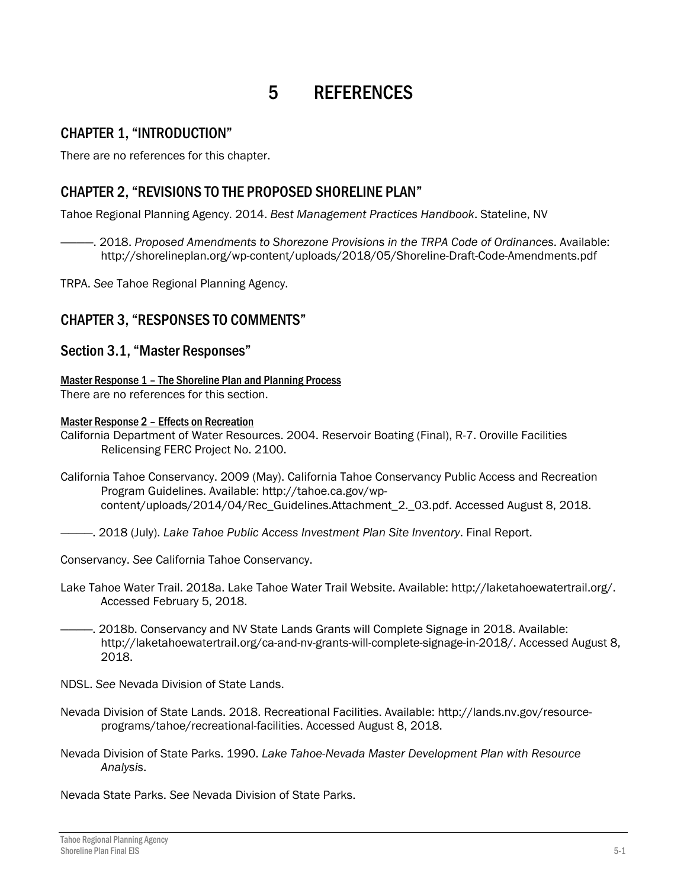# 5 REFERENCES

## CHAPTER 1, "INTRODUCTION"

There are no references for this chapter.

## CHAPTER 2, "REVISIONS TO THE PROPOSED SHORELINE PLAN"

Tahoe Regional Planning Agency. 2014. *Best Management Practices Handbook*. Stateline, NV

————. 2018. *Proposed Amendments to Shorezone Provisions in the TRPA Code of Ordinances*. Available: http://shorelineplan.org/wp-content/uploads/2018/05/Shoreline-Draft-Code-Amendments.pdf

TRPA. *See* Tahoe Regional Planning Agency.

## CHAPTER 3, "RESPONSES TO COMMENTS"

## Section 3.1, "Master Responses"

Master Response 1 – The Shoreline Plan and Planning Process There are no references for this section.

#### Master Response 2 - Effects on Recreation

California Department of Water Resources. 2004. Reservoir Boating (Final), R-7. Oroville Facilities Relicensing FERC Project No. 2100.

- California Tahoe Conservancy. 2009 (May). California Tahoe Conservancy Public Access and Recreation Program Guidelines. Available: [http://tahoe.ca.gov/wp](http://tahoe.ca.gov/wp-content/uploads/2014/04/Rec_Guidelines.Attachment_2._03.pdf)[content/uploads/2014/04/Rec\\_Guidelines.Attachment\\_2.\\_03.pdf.](http://tahoe.ca.gov/wp-content/uploads/2014/04/Rec_Guidelines.Attachment_2._03.pdf) Accessed August 8, 2018.
- ————. 2018 (July). *Lake Tahoe Public Access Investment Plan Site Inventory*. Final Report.

Conservancy. *See* California Tahoe Conservancy.

- Lake Tahoe Water Trail. 2018a. Lake Tahoe Water Trail Website. Available: http://laketahoewatertrail.org/. Accessed February 5, 2018.
- -. 2018b. Conservancy and NV State Lands Grants will Complete Signage in 2018. Available: [http://laketahoewatertrail.org/ca-and-nv-grants-will-complete-signage-in-2018/.](http://laketahoewatertrail.org/ca-and-nv-grants-will-complete-signage-in-2018/) Accessed August 8, 2018.
- NDSL. *See* Nevada Division of State Lands.
- Nevada Division of State Lands. 2018. Recreational Facilities. Available: [http://lands.nv.gov/resource](http://lands.nv.gov/resource-programs/tahoe/recreational-facilities)[programs/tahoe/recreational-facilities.](http://lands.nv.gov/resource-programs/tahoe/recreational-facilities) Accessed August 8, 2018.
- Nevada Division of State Parks. 1990. *Lake Tahoe-Nevada Master Development Plan with Resource Analysis*.

Nevada State Parks. *See* Nevada Division of State Parks.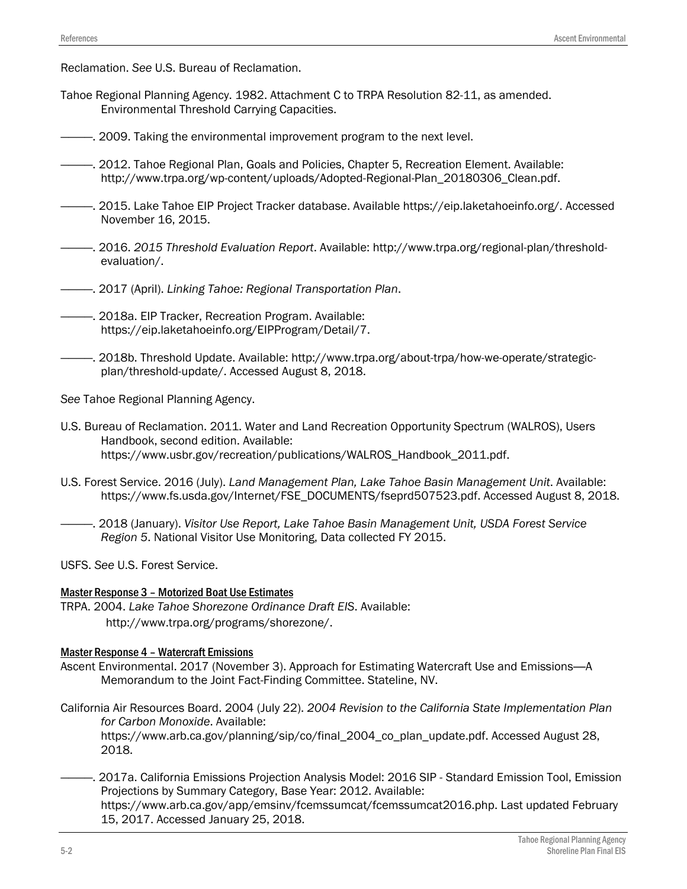Reclamation. *See* U.S. Bureau of Reclamation.

- Tahoe Regional Planning Agency. 1982. Attachment C to TRPA Resolution 82-11, as amended. Environmental Threshold Carrying Capacities.
- ————. 2009. Taking the environmental improvement program to the next level.
- ————. 2012. Tahoe Regional Plan, Goals and Policies, Chapter 5, Recreation Element. Available: [http://www.trpa.org/wp-content/uploads/Adopted-Regional-Plan\\_20180306\\_Clean.pdf.](http://www.trpa.org/wp-content/uploads/Adopted-Regional-Plan_20180306_Clean.pdf)
- ————. 2015. Lake Tahoe EIP Project Tracker database. Available https://eip.laketahoeinfo.org/. Accessed November 16, 2015.
- ————. 2016. *2015 Threshold Evaluation Report*. Available: [http://www.trpa.org/regional-plan/threshold](http://www.trpa.org/regional-plan/threshold-evaluation/)[evaluation/.](http://www.trpa.org/regional-plan/threshold-evaluation/)
- ————. 2017 (April). *Linking Tahoe: Regional Transportation Plan*.
- ————. 2018a. EIP Tracker, Recreation Program. Available: [https://eip.laketahoeinfo.org/EIPProgram/Detail/7.](https://eip.laketahoeinfo.org/EIPProgram/Detail/7)
- ————. 2018b. Threshold Update. Available: http://www.trpa.org/about-trpa/how-we-operate/strategicplan/threshold-update/. Accessed August 8, 2018.

*See* Tahoe Regional Planning Agency.

- U.S. Bureau of Reclamation. 2011. Water and Land Recreation Opportunity Spectrum (WALROS), Users Handbook, second edition. Available: https://www.usbr.gov/recreation/publications/WALROS\_Handbook\_2011.pdf.
- U.S. Forest Service. 2016 (July). *Land Management Plan, Lake Tahoe Basin Management Unit*. Available: [https://www.fs.usda.gov/Internet/FSE\\_DOCUMENTS/fseprd507523.pdf.](https://www.fs.usda.gov/Internet/FSE_DOCUMENTS/fseprd507523.pdf) Accessed August 8, 2018.
- ————. 2018 (January). *Visitor Use Report, Lake Tahoe Basin Management Unit, USDA Forest Service Region 5*. National Visitor Use Monitoring, Data collected FY 2015.

USFS. *See* U.S. Forest Service.

#### Master Response 3 – Motorized Boat Use Estimates

TRPA. 2004. *Lake Tahoe Shorezone Ordinance Draft EIS*. Available: [http://www.trpa.org/programs/shorezone/.](http://www.trpa.org/programs/shorezone/)

#### Master Response 4 – Watercraft Emissions

- Ascent Environmental. 2017 (November 3). Approach for Estimating Watercraft Use and Emissions—A Memorandum to the Joint Fact-Finding Committee. Stateline, NV.
- California Air Resources Board. 2004 (July 22). *2004 Revision to the California State Implementation Plan for Carbon Monoxide*. Available:

https://www.arb.ca.gov/planning/sip/co/final\_2004\_co\_plan\_update.pdf. Accessed August 28, 2018.

————. 2017a. California Emissions Projection Analysis Model: 2016 SIP - Standard Emission Tool, Emission Projections by Summary Category, Base Year: 2012. Available: https://www.arb.ca.gov/app/emsinv/fcemssumcat/fcemssumcat2016.php. Last updated February 15, 2017. Accessed January 25, 2018.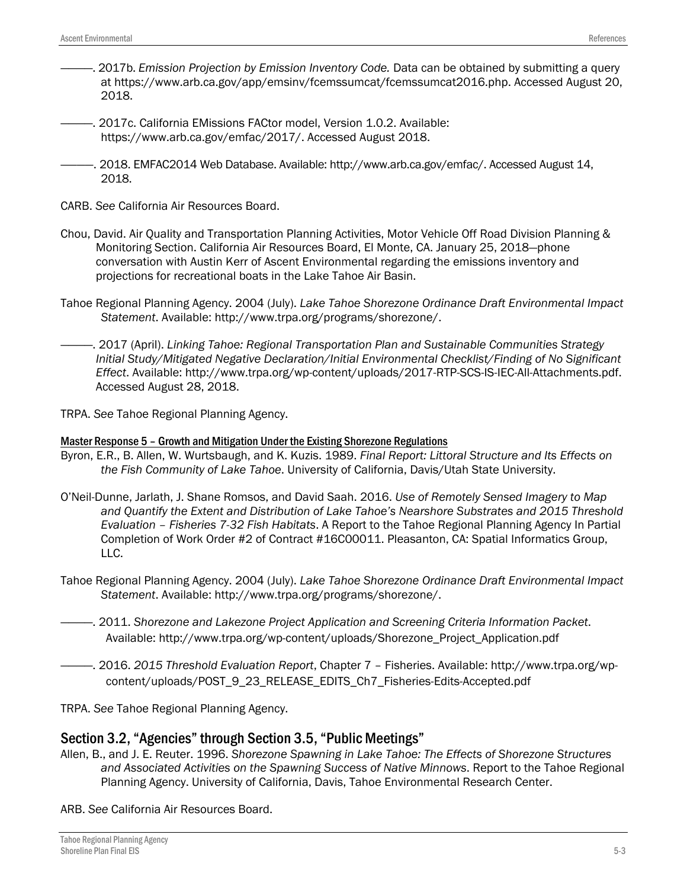- ————. 2017b. *Emission Projection by Emission Inventory Code.* Data can be obtained by submitting a query at [https://www.arb.ca.gov/app/emsinv/fcemssumcat/fcemssumcat2016.php.](https://www.arb.ca.gov/app/emsinv/fcemssumcat/fcemssumcat2016.php) Accessed August 20, 2018.
- ————. 2017c. California EMissions FACtor model, Version 1.0.2. Available: [https://www.arb.ca.gov/emfac/2017/.](https://www.arb.ca.gov/emfac/2017/) Accessed August 2018.
- ————. 2018. EMFAC2014 Web Database. Available: http://www.arb.ca.gov/emfac/. Accessed August 14, 2018.
- CARB. *See* California Air Resources Board.
- Chou, David. [Air Quality and Transportation Planning Activities,](https://www.arb.ca.gov/Planning/contacts.htm) Motor Vehicle Off Road Division Planning & Monitoring Section. California Air Resources Board, El Monte, CA. January 25, 2018—phone conversation with Austin Kerr of Ascent Environmental regarding the emissions inventory and projections for recreational boats in the Lake Tahoe Air Basin.
- Tahoe Regional Planning Agency. 2004 (July). *Lake Tahoe Shorezone Ordinance Draft Environmental Impact Statement*. Available: [http://www.trpa.org/programs/shorezone/.](http://www.trpa.org/programs/shorezone/)
- ————. 2017 (April). *Linking Tahoe: Regional Transportation Plan and Sustainable Communities Strategy Initial Study/Mitigated Negative Declaration/Initial Environmental Checklist/Finding of No Significant Effect*. Available: http://www.trpa.org/wp-content/uploads/2017-RTP-SCS-IS-IEC-All-Attachments.pdf. Accessed August 28, 2018.
- TRPA. *See* Tahoe Regional Planning Agency.

#### Master Response 5 – Growth and Mitigation Under the Existing Shorezone Regulations

- Byron, E.R., B. Allen, W. Wurtsbaugh, and K. Kuzis. 1989. *Final Report: Littoral Structure and Its Effects on the Fish Community of Lake Tahoe*. University of California, Davis/Utah State University.
- O'Neil-Dunne, Jarlath, J. Shane Romsos, and David Saah. 2016. *Use of Remotely Sensed Imagery to Map and Quantify the Extent and Distribution of Lake Tahoe's Nearshore Substrates and 2015 Threshold Evaluation – Fisheries 7-32 Fish Habitats*. A Report to the Tahoe Regional Planning Agency In Partial Completion of Work Order #2 of Contract #16C00011. Pleasanton, CA: Spatial Informatics Group, LLC.
- Tahoe Regional Planning Agency. 2004 (July). *Lake Tahoe Shorezone Ordinance Draft Environmental Impact Statement*. Available: [http://www.trpa.org/programs/shorezone/.](http://www.trpa.org/programs/shorezone/)
- ————. 2011. *Shorezone and Lakezone Project Application and Screening Criteria Information Packet*. Available: http://www.trpa.org/wp-content/uploads/Shorezone\_Project\_Application.pdf
- ————. 2016. *2015 Threshold Evaluation Report*, Chapter 7 Fisheries. Available: http://www.trpa.org/wpcontent/uploads/POST\_9\_23\_RELEASE\_EDITS\_Ch7\_Fisheries-Edits-Accepted.pdf

TRPA. *See* Tahoe Regional Planning Agency.

### Section 3.2, "Agencies" through Section 3.5, "Public Meetings"

Allen, B., and J. E. Reuter. 1996. *Shorezone Spawning in Lake Tahoe: The Effects of Shorezone Structures and Associated Activities on the Spawning Success of Native Minnows*. Report to the Tahoe Regional Planning Agency. University of California, Davis, Tahoe Environmental Research Center.

ARB. *See* California Air Resources Board.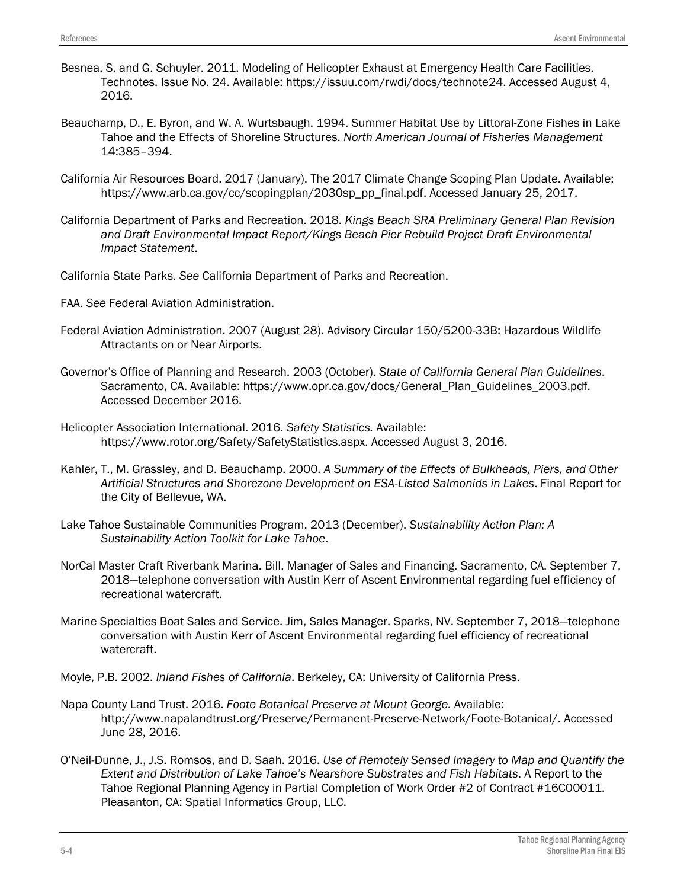- Besnea, S. and G. Schuyler. 2011. Modeling of Helicopter Exhaust at Emergency Health Care Facilities. Technotes. Issue No. 24. Available: https://issuu.com/rwdi/docs/technote24. Accessed August 4, 2016.
- Beauchamp, D., E. Byron, and W. A. Wurtsbaugh. 1994. Summer Habitat Use by Littoral-Zone Fishes in Lake Tahoe and the Effects of Shoreline Structures. *North American Journal of Fisheries Management* 14:385–394.
- California Air Resources Board. 2017 (January). The 2017 Climate Change Scoping Plan Update. Available: [https://www.arb.ca.gov/cc/scopingplan/2030sp\\_pp\\_final.pdf.](https://www.arb.ca.gov/cc/scopingplan/2030sp_pp_final.pdf) Accessed January 25, 2017.
- California Department of Parks and Recreation. 2018. *Kings Beach SRA Preliminary General Plan Revision and Draft Environmental Impact Report/Kings Beach Pier Rebuild Project Draft Environmental Impact Statement*.

California State Parks. *See* California Department of Parks and Recreation.

- FAA. *See* Federal Aviation Administration.
- Federal Aviation Administration. 2007 (August 28). Advisory Circular 150/5200-33B: Hazardous Wildlife Attractants on or Near Airports.
- Governor's Office of Planning and Research. 2003 (October). *State of California General Plan Guidelines*. Sacramento, CA. Available: [https://www.opr.ca.gov/docs/General\\_Plan\\_Guidelines\\_2003.pdf.](https://www.opr.ca.gov/docs/General_Plan_Guidelines_2003.pdf) Accessed December 2016.
- Helicopter Association International. 2016. *Safety Statistics.* Available: https://www.rotor.org/Safety/SafetyStatistics.aspx. Accessed August 3, 2016.
- Kahler, T., M. Grassley, and D. Beauchamp. 2000. *A Summary of the Effects of Bulkheads, Piers, and Other Artificial Structures and Shorezone Development on ESA-Listed Salmonids in Lakes*. Final Report for the City of Bellevue, WA.
- Lake Tahoe Sustainable Communities Program. 2013 (December). *Sustainability Action Plan: A Sustainability Action Toolkit for Lake Tahoe*.
- NorCal Master Craft Riverbank Marina. Bill, Manager of Sales and Financing. Sacramento, CA. September 7, 2018―telephone conversation with Austin Kerr of Ascent Environmental regarding fuel efficiency of recreational watercraft.
- Marine Specialties Boat Sales and Service. Jim, Sales Manager. Sparks, NV. September 7, 2018―telephone conversation with Austin Kerr of Ascent Environmental regarding fuel efficiency of recreational watercraft.
- Moyle, P.B. 2002. *Inland Fishes of California*. Berkeley, CA: University of California Press.
- Napa County Land Trust. 2016. *Foote Botanical Preserve at Mount George.* Available: http://www.napalandtrust.org/Preserve/Permanent-Preserve-Network/Foote-Botanical/. Accessed June 28, 2016.
- O'Neil-Dunne, J., J.S. Romsos, and D. Saah. 2016. *Use of Remotely Sensed Imagery to Map and Quantify the Extent and Distribution of Lake Tahoe's Nearshore Substrates and Fish Habitats*. A Report to the Tahoe Regional Planning Agency in Partial Completion of Work Order #2 of Contract #16C00011. Pleasanton, CA: Spatial Informatics Group, LLC.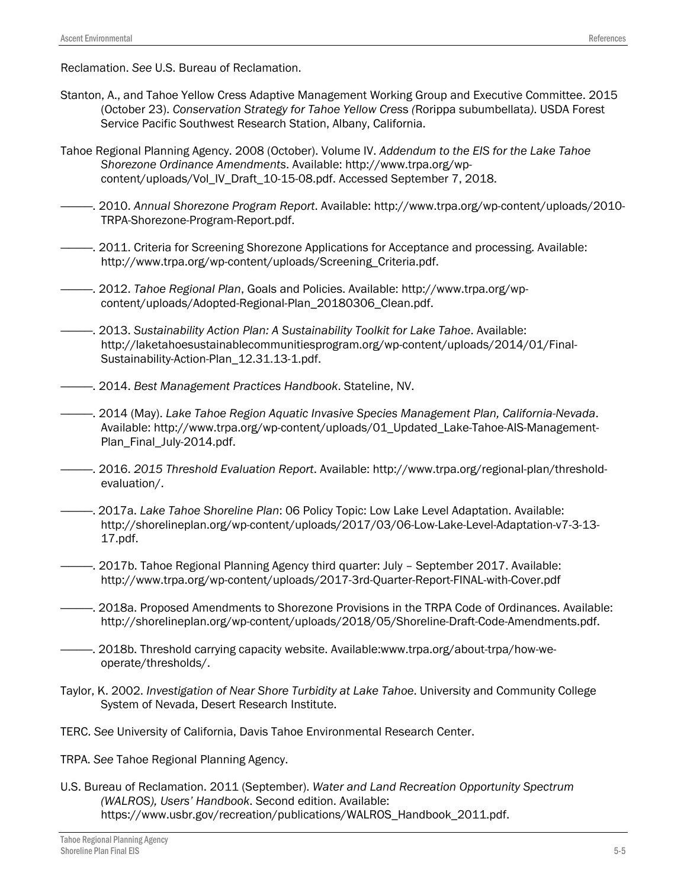Reclamation. *See* U.S. Bureau of Reclamation.

- Stanton, A., and Tahoe Yellow Cress Adaptive Management Working Group and Executive Committee. 2015 (October 23). *Conservation Strategy for Tahoe Yellow Cres*s *(*Rorippa subumbellata*)*. USDA Forest Service Pacific Southwest Research Station, Albany, California.
- Tahoe Regional Planning Agency. 2008 (October). Volume IV. *Addendum to the EIS for the Lake Tahoe Shorezone Ordinance Amendments*. Available: http://www.trpa.org/wpcontent/uploads/Vol\_IV\_Draft\_10-15-08.pdf. Accessed September 7, 2018.
- ————. 2010. *Annual Shorezone Program Report*. Available: [http://www.trpa.org/wp-content/uploads/2010-](http://www.trpa.org/wp-content/uploads/2010-TRPA-Shorezone-Program-Report.pdf) [TRPA-Shorezone-Program-Report.pdf.](http://www.trpa.org/wp-content/uploads/2010-TRPA-Shorezone-Program-Report.pdf)
- ————. 2011. Criteria for Screening Shorezone Applications for Acceptance and processing. Available: [http://www.trpa.org/wp-content/uploads/Screening\\_Criteria.pdf.](http://www.trpa.org/wp-content/uploads/Screening_Criteria.pdf)
- ————. 2012. *Tahoe Regional Plan*, Goals and Policies. Available: [http://www.trpa.org/wp](http://www.trpa.org/wp-content/uploads/Adopted-Regional-Plan_20180306_Clean.pdf)[content/uploads/Adopted-Regional-Plan\\_20180306\\_Clean.pdf.](http://www.trpa.org/wp-content/uploads/Adopted-Regional-Plan_20180306_Clean.pdf)
- ————. 2013. *Sustainability Action Plan: A Sustainability Toolkit for Lake Tahoe*. Available: http://laketahoesustainablecommunitiesprogram.org/wp-content/uploads/2014/01/Final-Sustainability-Action-Plan\_12.31.13-1.pdf.
- ————. 2014. *Best Management Practices Handbook*. Stateline, NV.
- ————. 2014 (May). *Lake Tahoe Region Aquatic Invasive Species Management Plan, California-Nevada*. Available: http://www.trpa.org/wp-content/uploads/01\_Updated\_Lake-Tahoe-AIS-Management-Plan\_Final\_July-2014.pdf.
- ————. 2016. *2015 Threshold Evaluation Report*. Available: [http://www.trpa.org/regional-plan/threshold](http://www.trpa.org/regional-plan/threshold-evaluation/)[evaluation/.](http://www.trpa.org/regional-plan/threshold-evaluation/)
- ————. 2017a. *Lake Tahoe Shoreline Plan*: 06 Policy Topic: Low Lake Level Adaptation. Available: [http://shorelineplan.org/wp-content/uploads/2017/03/06-Low-Lake-Level-Adaptation-v7-3-13-](http://shorelineplan.org/wp-content/uploads/2017/03/06-Low-Lake-Level-Adaptation-v7-3-13-17.pdf) [17.pdf.](http://shorelineplan.org/wp-content/uploads/2017/03/06-Low-Lake-Level-Adaptation-v7-3-13-17.pdf)
- ————. 2017b. Tahoe Regional Planning Agency third quarter: July September 2017. Available: http://www.trpa.org/wp-content/uploads/2017-3rd-Quarter-Report-FINAL-with-Cover.pdf
- ————. 2018a. Proposed Amendments to Shorezone Provisions in the TRPA Code of Ordinances. Available: http://shorelineplan.org/wp-content/uploads/2018/05/Shoreline-Draft-Code-Amendments.pdf.
- ————. 2018b. Threshold carrying capacity website. Available:www.trpa.org/about-trpa/how-weoperate/thresholds/.
- Taylor, K. 2002. *Investigation of Near Shore Turbidity at Lake Tahoe*. University and Community College System of Nevada, Desert Research Institute.
- TERC. *See* University of California, Davis Tahoe Environmental Research Center.
- TRPA. *See* Tahoe Regional Planning Agency.
- U.S. Bureau of Reclamation. 2011 (September). *Water and Land Recreation Opportunity Spectrum (WALROS), Users' Handbook*. Second edition. Available: https://www.usbr.gov/recreation/publications/WALROS\_Handbook\_2011.pdf.